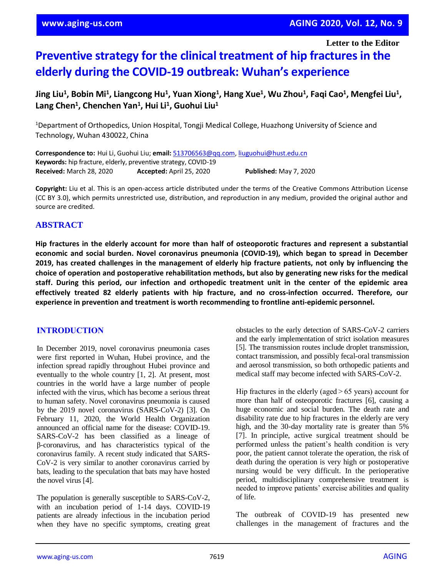**Letter to the Editor**

# **Preventive strategy for the clinical treatment of hip fractures in the elderly during the COVID-19 outbreak: Wuhan's experience**

**Jing Liu<sup>1</sup> , Bobin Mi<sup>1</sup> , Liangcong Hu<sup>1</sup> , Yuan Xiong<sup>1</sup> , Hang Xue<sup>1</sup> , Wu Zhou<sup>1</sup> , Faqi Cao<sup>1</sup> , Mengfei Liu<sup>1</sup> , Lang Chen<sup>1</sup> , Chenchen Yan<sup>1</sup> , Hui Li<sup>1</sup> , Guohui Liu<sup>1</sup>**

<sup>1</sup>Department of Orthopedics, Union Hospital, Tongji Medical College, Huazhong University of Science and Technology, Wuhan 430022, China

**Correspondence to:** Hui Li, Guohui Liu; **email:** [513706563@qq.com,](mailto:513706563@qq.com) [liuguohui@hust.edu.cn](mailto:liuguohui@hust.edu.cn) **Keywords:** hip fracture, elderly, preventive strategy, COVID-19 **Received:** March 28, 2020 **Accepted:** April 25, 2020 **Published:** May 7, 2020

**Copyright:** Liu et al. This is an open-access article distributed under the terms of the Creative Commons Attribution License (CC BY 3.0), which permits unrestricted use, distribution, and reproduction in any medium, provided the original author and source are credited.

# **ABSTRACT**

Hip fractures in the elderly account for more than half of osteoporotic fractures and represent a substantial **economic and social burden. Novel coronavirus pneumonia (COVID-19), which began to spread in December** 2019, has created challenges in the management of elderly hip fracture patients, not only by influencing the **choice of operation and postoperative rehabilitation methods, but also by generating new risks for the medical staff. During this period, our infection and orthopedic treatment unit in the center of the epidemic area effectively treated 82 elderly patients with hip fracture, and no cross-infection occurred. Therefore, our experience in prevention and treatment is worth recommending to frontline anti-epidemic personnel.**

# **INTRODUCTION**

In December 2019, novel coronavirus pneumonia cases were first reported in Wuhan, Hubei province, and the infection spread rapidly throughout Hubei province and eventually to the whole country [1, 2]. At present, most countries in the world have a large number of people infected with the virus, which has become a serious threat to human safety. Novel coronavirus pneumonia is caused by the 2019 novel coronavirus (SARS-CoV-2) [3]. On February 11, 2020, the World Health Organization announced an official name for the disease: COVID-19. SARS-CoV-2 has been classified as a lineage of β-coronavirus, and has characteristics typical of the coronavirus family. A recent study indicated that SARS-CoV-2 is very similar to another coronavirus carried by bats, leading to the speculation that bats may have hosted the novel virus [4].

The population is generally susceptible to SARS-CoV-2, with an incubation period of 1-14 days. COVID-19 patients are already infectious in the incubation period when they have no specific symptoms, creating great obstacles to the early detection of SARS-CoV-2 carriers and the early implementation of strict isolation measures [5]. The transmission routes include droplet transmission, contact transmission, and possibly fecal-oral transmission and aerosol transmission, so both orthopedic patients and medical staff may become infected with SARS-CoV-2.

Hip fractures in the elderly (aged > 65 years) account for more than half of osteoporotic fractures [6], causing a huge economic and social burden. The death rate and disability rate due to hip fractures in the elderly are very high, and the 30-day mortality rate is greater than 5% [7]. In principle, active surgical treatment should be performed unless the patient's health condition is very poor, the patient cannot tolerate the operation, the risk of death during the operation is very high or postoperative nursing would be very difficult. In the perioperative period, multidisciplinary comprehensive treatment is needed to improve patients' exercise abilities and quality of life.

The outbreak of COVID-19 has presented new challenges in the management of fractures and the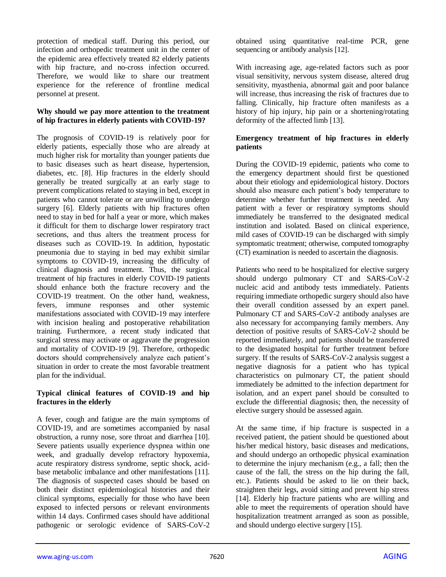protection of medical staff. During this period, our infection and orthopedic treatment unit in the center of the epidemic area effectively treated 82 elderly patients with hip fracture, and no-cross infection occurred. Therefore, we would like to share our treatment experience for the reference of frontline medical personnel at present.

### **Why should we pay more attention to the treatment of hip fractures in elderly patients with COVID-19?**

The prognosis of COVID-19 is relatively poor for elderly patients, especially those who are already at much higher risk for mortality than younger patients due to basic diseases such as heart disease, hypertension, diabetes, etc. [8]. Hip fractures in the elderly should generally be treated surgically at an early stage to prevent complications related to staying in bed, except in patients who cannot tolerate or are unwilling to undergo surgery [6]. Elderly patients with hip fractures often need to stay in bed for half a year or more, which makes it difficult for them to discharge lower respiratory tract secretions, and thus alters the treatment process for diseases such as COVID-19. In addition, hypostatic pneumonia due to staying in bed may exhibit similar symptoms to COVID-19, increasing the difficulty of clinical diagnosis and treatment. Thus, the surgical treatment of hip fractures in elderly COVID-19 patients should enhance both the fracture recovery and the COVID-19 treatment. On the other hand, weakness, fevers, immune responses and other systemic manifestations associated with COVID-19 may interfere with incision healing and postoperative rehabilitation training. Furthermore, a recent study indicated that surgical stress may activate or aggravate the progression and mortality of COVID-19 [9]. Therefore, orthopedic doctors should comprehensively analyze each patient's situation in order to create the most favorable treatment plan for the individual.

## **Typical clinical features of COVID-19 and hip fractures in the elderly**

A fever, cough and fatigue are the main symptoms of COVID-19, and are sometimes accompanied by nasal obstruction, a runny nose, sore throat and diarrhea [10]. Severe patients usually experience dyspnea within one week, and gradually develop refractory hypoxemia, acute respiratory distress syndrome, septic shock, acidbase metabolic imbalance and other manifestations [11]. The diagnosis of suspected cases should be based on both their distinct epidemiological histories and their clinical symptoms, especially for those who have been exposed to infected persons or relevant environments within 14 days. Confirmed cases should have additional pathogenic or serologic evidence of SARS-CoV-2

obtained using quantitative real-time PCR, gene sequencing or antibody analysis [12].

With increasing age, age-related factors such as poor visual sensitivity, nervous system disease, altered drug sensitivity, myasthenia, abnormal gait and poor balance will increase, thus increasing the risk of fractures due to falling. Clinically, hip fracture often manifests as a history of hip injury, hip pain or a shortening/rotating deformity of the affected limb [13].

### **Emergency treatment of hip fractures in elderly patients**

During the COVID-19 epidemic, patients who come to the emergency department should first be questioned about their etiology and epidemiological history. Doctors should also measure each patient's body temperature to determine whether further treatment is needed. Any patient with a fever or respiratory symptoms should immediately be transferred to the designated medical institution and isolated. Based on clinical experience, mild cases of COVID-19 can be discharged with simply symptomatic treatment; otherwise, computed tomography (CT) examination is needed to ascertain the diagnosis.

Patients who need to be hospitalized for elective surgery should undergo pulmonary CT and SARS-CoV-2 nucleic acid and antibody tests immediately. Patients requiring immediate orthopedic surgery should also have their overall condition assessed by an expert panel. Pulmonary CT and SARS-CoV-2 antibody analyses are also necessary for accompanying family members. Any detection of positive results of SARS-CoV-2 should be reported immediately, and patients should be transferred to the designated hospital for further treatment before surgery. If the results of SARS-CoV-2 analysis suggest a negative diagnosis for a patient who has typical characteristics on pulmonary CT, the patient should immediately be admitted to the infection department for isolation, and an expert panel should be consulted to exclude the differential diagnosis; then, the necessity of elective surgery should be assessed again.

At the same time, if hip fracture is suspected in a received patient, the patient should be questioned about his/her medical history, basic diseases and medications, and should undergo an orthopedic physical examination to determine the injury mechanism (e.g., a fall; then the cause of the fall, the stress on the hip during the fall, etc.). Patients should be asked to lie on their back, straighten their legs, avoid sitting and prevent hip stress [14]. Elderly hip fracture patients who are willing and able to meet the requirements of operation should have hospitalization treatment arranged as soon as possible, and should undergo elective surgery [15].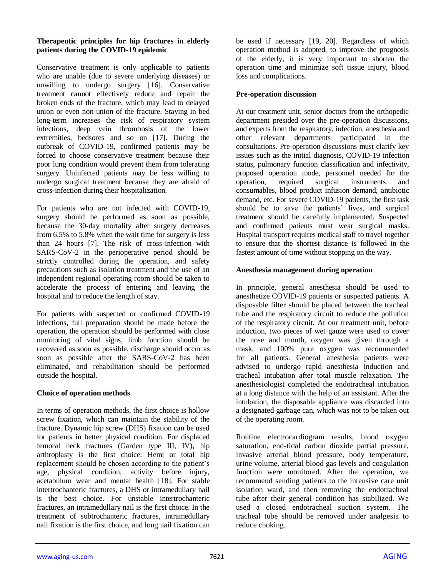## **Therapeutic principles for hip fractures in elderly patients during the COVID-19 epidemic**

Conservative treatment is only applicable to patients who are unable (due to severe underlying diseases) or unwilling to undergo surgery [16]. Conservative treatment cannot effectively reduce and repair the broken ends of the fracture, which may lead to delayed union or even non-union of the fracture. Staying in bed long-term increases the risk of respiratory system infections, deep vein thrombosis of the lower extremities, bedsores and so on [17]. During the outbreak of COVID-19, confirmed patients may be forced to choose conservative treatment because their poor lung condition would prevent them from tolerating surgery. Uninfected patients may be less willing to undergo surgical treatment because they are afraid of cross-infection during their hospitalization.

For patients who are not infected with COVID-19, surgery should be performed as soon as possible, because the 30-day mortality after surgery decreases from 6.5% to 5.8% when the wait time for surgery is less than 24 hours [7]. The risk of cross-infection with SARS-CoV-2 in the perioperative period should be strictly controlled during the operation, and safety precautions such as isolation treatment and the use of an independent regional operating room should be taken to accelerate the process of entering and leaving the hospital and to reduce the length of stay.

For patients with suspected or confirmed COVID-19 infections, full preparation should be made before the operation, the operation should be performed with close monitoring of vital signs, limb function should be recovered as soon as possible, discharge should occur as soon as possible after the SARS-CoV-2 has been eliminated, and rehabilitation should be performed outside the hospital.

### **Choice of operation methods**

In terms of operation methods, the first choice is hollow screw fixation, which can maintain the stability of the fracture. Dynamic hip screw (DHS) fixation can be used for patients in better physical condition. For displaced femoral neck fractures (Garden type III, IV), hip arthroplasty is the first choice. Hemi or total hip replacement should be chosen according to the patient's age, physical condition, activity before injury, acetabulum wear and mental health [18]. For stable intertrochanteric fractures, a DHS or intramedullary nail is the best choice. For unstable intertrochanteric fractures, an intramedullary nail is the first choice. In the treatment of subtrochanteric fractures, intramedullary nail fixation is the first choice, and long nail fixation can

be used if necessary [19, 20]. Regardless of which operation method is adopted, to improve the prognosis of the elderly, it is very important to shorten the operation time and minimize soft tissue injury, blood loss and complications.

## **Pre-operation discussion**

At our treatment unit, senior doctors from the orthopedic department presided over the pre-operation discussions, and experts from the respiratory, infection, anesthesia and other relevant departments participated in the consultations. Pre-operation discussions must clarify key issues such as the initial diagnosis, COVID-19 infection status, pulmonary function classification and infectivity, proposed operation mode, personnel needed for the operation, required surgical instruments and consumables, blood product infusion demand, antibiotic demand, etc. For severe COVID-19 patients, the first task should be to save the patients' lives, and surgical treatment should be carefully implemented. Suspected and confirmed patients must wear surgical masks. Hospital transport requires medical staff to travel together to ensure that the shortest distance is followed in the fastest amount of time without stopping on the way.

## **Anesthesia management during operation**

In principle, general anesthesia should be used to anesthetize COVID-19 patients or suspected patients. A disposable filter should be placed between the tracheal tube and the respiratory circuit to reduce the pollution of the respiratory circuit. At our treatment unit, before induction, two pieces of wet gauze were used to cover the nose and mouth, oxygen was given through a mask, and 100% pure oxygen was recommended for all patients. General anesthesia patients were advised to undergo rapid anesthesia induction and tracheal intubation after total muscle relaxation. The anesthesiologist completed the endotracheal intubation at a long distance with the help of an assistant. After the intubation, the disposable appliance was discarded into a designated garbage can, which was not to be taken out of the operating room.

Routine electrocardiogram results, blood oxygen saturation, end-tidal carbon dioxide partial pressure, invasive arterial blood pressure, body temperature, urine volume, arterial blood gas levels and coagulation function were monitored. After the operation, we recommend sending patients to the intensive care unit isolation ward, and then removing the endotracheal tube after their general condition has stabilized. We used a closed endotracheal suction system. The tracheal tube should be removed under analgesia to reduce choking.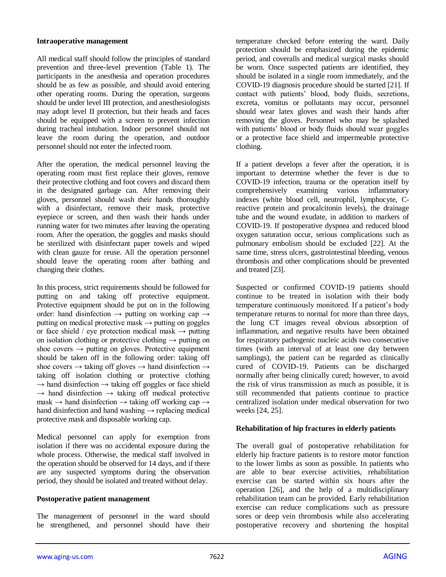#### **Intraoperative management**

All medical staff should follow the principles of standard prevention and three-level prevention (Table 1). The participants in the anesthesia and operation procedures should be as few as possible, and should avoid entering other operating rooms. During the operation, surgeons should be under level III protection, and anesthesiologists may adopt level II protection, but their heads and faces should be equipped with a screen to prevent infection during tracheal intubation. Indoor personnel should not leave the room during the operation, and outdoor personnel should not enter the infected room.

After the operation, the medical personnel leaving the operating room must first replace their gloves, remove their protective clothing and foot covers and discard them in the designated garbage can. After removing their gloves, personnel should wash their hands thoroughly with a disinfectant, remove their mask, protective eyepiece or screen, and then wash their hands under running water for two minutes after leaving the operating room. After the operation, the goggles and masks should be sterilized with disinfectant paper towels and wiped with clean gauze for reuse. All the operation personnel should leave the operating room after bathing and changing their clothes.

In this process, strict requirements should be followed for putting on and taking off protective equipment. Protective equipment should be put on in the following order: hand disinfection  $\rightarrow$  putting on working cap  $\rightarrow$ putting on medical protective mask  $\rightarrow$  putting on goggles or face shield / eye protection medical mask  $\rightarrow$  putting on isolation clothing or protective clothing  $\rightarrow$  putting on shoe covers  $\rightarrow$  putting on gloves. Protective equipment should be taken off in the following order: taking off shoe covers  $\rightarrow$  taking off gloves  $\rightarrow$  hand disinfection  $\rightarrow$ taking off isolation clothing or protective clothing  $\rightarrow$  hand disinfection  $\rightarrow$  taking off goggles or face shield  $\rightarrow$  hand disinfection  $\rightarrow$  taking off medical protective  $mask \rightarrow$  hand disinfection  $\rightarrow$  taking off working cap  $\rightarrow$ hand disinfection and hand washing  $\rightarrow$  replacing medical protective mask and disposable working cap.

Medical personnel can apply for exemption from isolation if there was no accidental exposure during the whole process. Otherwise, the medical staff involved in the operation should be observed for 14 days, and if there are any suspected symptoms during the observation period, they should be isolated and treated without delay.

### **Postoperative patient management**

The management of personnel in the ward should be strengthened, and personnel should have their temperature checked before entering the ward. Daily protection should be emphasized during the epidemic period, and coveralls and medical surgical masks should be worn. Once suspected patients are identified, they should be isolated in a single room immediately, and the COVID-19 diagnosis procedure should be started [21]. If contact with patients' blood, body fluids, secretions, excreta, vomitus or pollutants may occur, personnel should wear latex gloves and wash their hands after removing the gloves. Personnel who may be splashed with patients' blood or body fluids should wear goggles or a protective face shield and impermeable protective clothing.

If a patient develops a fever after the operation, it is important to determine whether the fever is due to COVID-19 infection, trauma or the operation itself by comprehensively examining various inflammatory indexes (white blood cell, neutrophil, lymphocyte, Creactive protein and procalcitonin levels), the drainage tube and the wound exudate, in addition to markers of COVID-19. If postoperative dyspnea and reduced blood oxygen saturation occur, serious complications such as pulmonary embolism should be excluded [22]. At the same time, stress ulcers, gastrointestinal bleeding, venous thrombosis and other complications should be prevented and treated [23].

Suspected or confirmed COVID-19 patients should continue to be treated in isolation with their body temperature continuously monitored. If a patient's body temperature returns to normal for more than three days, the lung CT images reveal obvious absorption of inflammation, and negative results have been obtained for respiratory pathogenic nucleic acids two consecutive times (with an interval of at least one day between samplings), the patient can be regarded as clinically cured of COVID-19. Patients can be discharged normally after being clinically cured; however, to avoid the risk of virus transmission as much as possible, it is still recommended that patients continue to practice centralized isolation under medical observation for two weeks [24, 25].

### **Rehabilitation of hip fractures in elderly patients**

The overall goal of postoperative rehabilitation for elderly hip fracture patients is to restore motor function to the lower limbs as soon as possible. In patients who are able to bear exercise activities, rehabilitation exercise can be started within six hours after the operation [26], and the help of a multidisciplinary rehabilitation team can be provided. Early rehabilitation exercise can reduce complications such as pressure sores or deep vein thrombosis while also accelerating postoperative recovery and shortening the hospital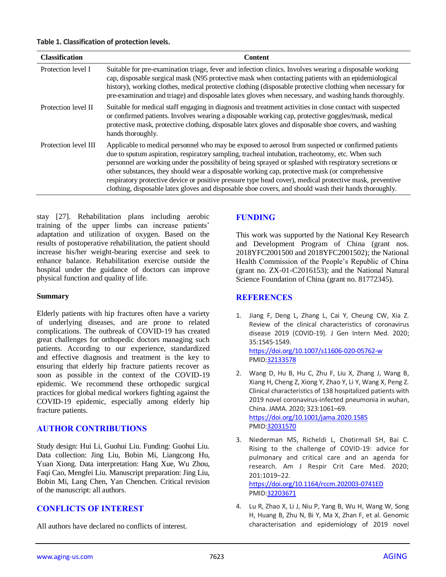| <b>Classification</b> | <b>Content</b>                                                                                                                                                                                                                                                                                                                                                                                                                                                                                                                                                                                                                           |
|-----------------------|------------------------------------------------------------------------------------------------------------------------------------------------------------------------------------------------------------------------------------------------------------------------------------------------------------------------------------------------------------------------------------------------------------------------------------------------------------------------------------------------------------------------------------------------------------------------------------------------------------------------------------------|
| Protection level I    | Suitable for pre-examination triage, fever and infection clinics. Involves wearing a disposable working<br>cap, disposable surgical mask (N95 protective mask when contacting patients with an epidemiological<br>history), working clothes, medical protective clothing (disposable protective clothing when necessary for<br>pre-examination and triage) and disposable latex gloves when necessary, and washing hands thoroughly.                                                                                                                                                                                                     |
| Protection level II   | Suitable for medical staff engaging in diagnosis and treatment activities in close contact with suspected<br>or confirmed patients. Involves wearing a disposable working cap, protective goggles/mask, medical<br>protective mask, protective clothing, disposable latex gloves and disposable shoe covers, and washing<br>hands thoroughly.                                                                                                                                                                                                                                                                                            |
| Protection level III  | Applicable to medical personnel who may be exposed to aerosol from suspected or confirmed patients<br>due to sputum aspiration, respiratory sampling, tracheal intubation, tracheotomy, etc. When such<br>personnel are working under the possibility of being sprayed or splashed with respiratory secretions or<br>other substances, they should wear a disposable working cap, protective mask (or comprehensive<br>respiratory protective device or positive pressure type head cover), medical protective mask, preventive<br>clothing, disposable latex gloves and disposable shoe covers, and should wash their hands thoroughly. |

stay [27]. Rehabilitation plans including aerobic training of the upper limbs can increase patients' adaptation and utilization of oxygen. Based on the results of postoperative rehabilitation, the patient should increase his/her weight-bearing exercise and seek to enhance balance. Rehabilitation exercise outside the hospital under the guidance of doctors can improve physical function and quality of life.

### **Summary**

Elderly patients with hip fractures often have a variety of underlying diseases, and are prone to related complications. The outbreak of COVID-19 has created great challenges for orthopedic doctors managing such patients. According to our experience, standardized and effective diagnosis and treatment is the key to ensuring that elderly hip fracture patients recover as soon as possible in the context of the COVID-19 epidemic. We recommend these orthopedic surgical practices for global medical workers fighting against the COVID-19 epidemic, especially among elderly hip fracture patients.

# **AUTHOR CONTRIBUTIONS**

Study design: Hui Li, Guohui Liu. Funding: Guohui Liu. Data collection: Jing Liu, Bobin Mi, Liangcong Hu, Yuan Xiong. Data interpretation: Hang Xue, Wu Zhou, Faqi Cao, Mengfei Liu. Manuscript preparation: Jing Liu, Bobin Mi, Lang Chen, Yan Chenchen. Critical revision of the manuscript: all authors.

# **CONFLICTS OF INTEREST**

All authors have declared no conflicts of interest.

# **FUNDING**

This work was supported by the National Key Research and Development Program of China (grant nos. 2018YFC2001500 and 2018YFC2001502); the National Health Commission of the People's Republic of China (grant no. ZX-01-C2016153); and the National Natural Science Foundation of China (grant no. 81772345).

# **REFERENCES**

- 1. Jiang F, Deng L, Zhang L, Cai Y, Cheung CW, Xia Z. Review of the clinical characteristics of coronavirus disease 2019 (COVID-19). J Gen Intern Med. 2020; 35:1545-1549. <https://doi.org/10.1007/s11606-020-05762-w> PMI[D:32133578](https://pubmed.ncbi.nlm.nih.gov/32133578)
- 2. Wang D, Hu B, Hu C, Zhu F, Liu X, Zhang J, Wang B, Xiang H, Cheng Z, Xiong Y, Zhao Y, Li Y, Wang X, Peng Z. Clinical characteristics of 138 hospitalized patients with 2019 novel coronavirus-infected pneumonia in wuhan, China. JAMA. 2020; 323:1061–69. <https://doi.org/10.1001/jama.2020.1585> PMI[D:32031570](https://pubmed.ncbi.nlm.nih.gov/32031570)
- 3. Niederman MS, Richeldi L, Chotirmall SH, Bai C. Rising to the challenge of COVID-19: advice for pulmonary and critical care and an agenda for research. Am J Respir Crit Care Med. 2020; 201:1019–22. <https://doi.org/10.1164/rccm.202003-0741ED> PMI[D:32203671](https://pubmed.ncbi.nlm.nih.gov/32203671)

4. Lu R, Zhao X, Li J, Niu P, Yang B, Wu H, Wang W, Song H, Huang B, Zhu N, Bi Y, Ma X, Zhan F, et al. Genomic characterisation and epidemiology of 2019 novel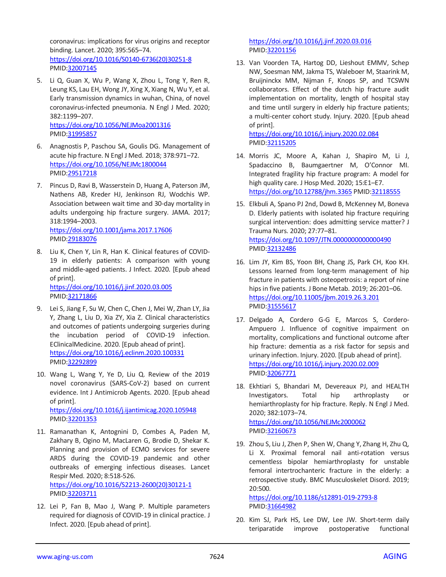coronavirus: implications for virus origins and receptor binding. Lancet. 2020; 395:565–74. [https://doi.org/10.1016/S0140-6736\(20\)30251-8](https://doi.org/10.1016/S0140-6736(20)30251-8) PMID[:32007145](https://pubmed.ncbi.nlm.nih.gov/32007145)

- 5. Li Q, Guan X, Wu P, Wang X, Zhou L, Tong Y, Ren R, Leung KS, Lau EH, Wong JY, Xing X, Xiang N, Wu Y, et al. Early transmission dynamics in wuhan, China, of novel coronavirus-infected pneumonia. N Engl J Med. 2020; 382:1199–207. <https://doi.org/10.1056/NEJMoa2001316> PMID[:31995857](https://pubmed.ncbi.nlm.nih.gov/31995857)
- 6. Anagnostis P, Paschou SA, Goulis DG. Management of acute hip fracture. N Engl J Med. 2018; 378:971–72. <https://doi.org/10.1056/NEJMc1800044> PMID[:29517218](https://pubmed.ncbi.nlm.nih.gov/29517218)
- 7. Pincus D, Ravi B, Wasserstein D, Huang A, Paterson JM, Nathens AB, Kreder HJ, Jenkinson RJ, Wodchis WP. Association between wait time and 30-day mortality in adults undergoing hip fracture surgery. JAMA. 2017; 318:1994–2003. <https://doi.org/10.1001/jama.2017.17606> PMID[:29183076](https://pubmed.ncbi.nlm.nih.gov/29183076)
- 8. Liu K, Chen Y, Lin R, Han K. Clinical features of COVID-19 in elderly patients: A comparison with young and middle-aged patients. J Infect. 2020. [Epub ahead of print]. <https://doi.org/10.1016/j.jinf.2020.03.005> PMID[:32171866](https://pubmed.ncbi.nlm.nih.gov/32171866)
- 9. Lei S, Jiang F, Su W, Chen C, Chen J, Mei W, Zhan LY, Jia Y, Zhang L, Liu D, Xia ZY, Xia Z. Clinical characteristics and outcomes of patients undergoing surgeries during the incubation period of COVID-19 infection. EClinicalMedicine. 2020. [Epub ahead of print]. <https://doi.org/10.1016/j.eclinm.2020.100331> PMID[:32292899](https://pubmed.ncbi.nlm.nih.gov/32292899)
- 10. Wang L, Wang Y, Ye D, Liu Q. Review of the 2019 novel coronavirus (SARS-CoV-2) based on current evidence. Int J Antimicrob Agents. 2020. [Epub ahead of print]. <https://doi.org/10.1016/j.ijantimicag.2020.105948> PMID[:32201353](https://pubmed.ncbi.nlm.nih.gov/32201353)
- 11. Ramanathan K, Antognini D, Combes A, Paden M, Zakhary B, Ogino M, MacLaren G, Brodie D, Shekar K. Planning and provision of ECMO services for severe ARDS during the COVID-19 pandemic and other outbreaks of emerging infectious diseases. Lancet Respir Med. 2020; 8:518-526. [https://doi.org/10.1016/S2213-2600\(20\)30121-1](https://doi.org/10.1016/S2213-2600(20)30121-1) PMID[:32203711](https://pubmed.ncbi.nlm.nih.gov/32203711)
- 12. Lei P, Fan B, Mao J, Wang P. Multiple parameters required for diagnosis of COVID-19 in clinical practice. J Infect. 2020. [Epub ahead of print].

<https://doi.org/10.1016/j.jinf.2020.03.016> PMI[D:32201156](https://pubmed.ncbi.nlm.nih.gov/32201156)

13. Van Voorden TA, Hartog DD, Lieshout EMMV, Schep NW, Soesman NM, Jakma TS, Waleboer M, Staarink M, Bruijninckx MM, Nijman F, Knops SP, and TCSWN collaborators. Effect of the dutch hip fracture audit implementation on mortality, length of hospital stay and time until surgery in elderly hip fracture patients; a multi-center cohort study. Injury. 2020. [Epub ahead of print].

<https://doi.org/10.1016/j.injury.2020.02.084> PMI[D:32115205](https://pubmed.ncbi.nlm.nih.gov/32115205)

- 14. Morris JC, Moore A, Kahan J, Shapiro M, Li J, Spadaccino B, Baumgaertner M, O'Connor MI. Integrated fragility hip fracture program: A model for high quality care. J Hosp Med. 2020; 15:E1–E7. <https://doi.org/10.12788/jhm.3365> PMID[:32118555](https://pubmed.ncbi.nlm.nih.gov/32118555)
- 15. Elkbuli A, Spano PJ 2nd, Dowd B, McKenney M, Boneva D. Elderly patients with isolated hip fracture requiring surgical intervention: does admitting service matter? J Trauma Nurs. 2020; 27:77–81. <https://doi.org/10.1097/JTN.0000000000000490> PMI[D:32132486](https://pubmed.ncbi.nlm.nih.gov/32132486)
- 16. Lim JY, Kim BS, Yoon BH, Chang JS, Park CH, Koo KH. Lessons learned from long-term management of hip fracture in patients with osteopetrosis: a report of nine hips in five patients. J Bone Metab. 2019; 26:201–06. <https://doi.org/10.11005/jbm.2019.26.3.201> PMI[D:31555617](https://pubmed.ncbi.nlm.nih.gov/31555617)
- 17. Delgado A, Cordero G-G E, Marcos S, Cordero-Ampuero J. Influence of cognitive impairment on mortality, complications and functional outcome after hip fracture: dementia as a risk factor for sepsis and urinary infection. Injury. 2020. [Epub ahead of print]. <https://doi.org/10.1016/j.injury.2020.02.009> PMI[D:32067771](https://pubmed.ncbi.nlm.nih.gov/32067771)
- 18. Ekhtiari S, Bhandari M, Devereaux PJ, and HEALTH Investigators. Total hip arthroplasty or hemiarthroplasty for hip fracture. Reply. N Engl J Med. 2020; 382:1073–74. <https://doi.org/10.1056/NEJMc2000062> PMI[D:32160673](https://pubmed.ncbi.nlm.nih.gov/32160673)
- 19. Zhou S, Liu J, Zhen P, Shen W, Chang Y, Zhang H, Zhu Q, Li X. Proximal femoral nail anti-rotation versus cementless bipolar hemiarthroplasty for unstable femoral intertrochanteric fracture in the elderly: a retrospective study. BMC Musculoskelet Disord. 2019; 20:500.

<https://doi.org/10.1186/s12891-019-2793-8> PMI[D:31664982](https://pubmed.ncbi.nlm.nih.gov/31664982)

20. Kim SJ, Park HS, Lee DW, Lee JW. Short-term daily teriparatide improve postoperative functional